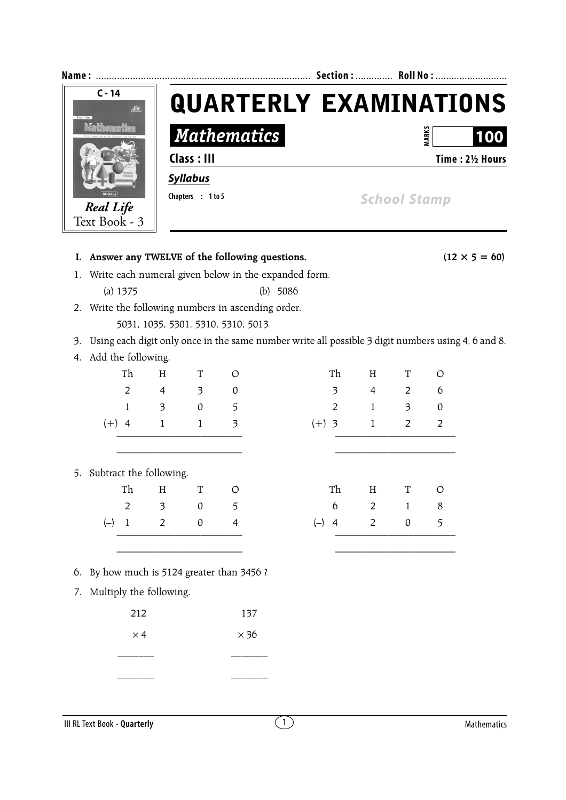|                    | Section:  Roll No :           |
|--------------------|-------------------------------|
|                    | <b>QUARTERLY EXAMINATIONS</b> |
| <b>Mathematics</b> | ARK:<br>100                   |
| Class : III        | Time: 2½ Hours                |
| <b>Syllabus</b>    |                               |
| Chapters : 1 to 5  | <b>School Stamp</b>           |
|                    |                               |

|    |                       |                |                            |                  |                                            | I. Answer any TWELVE of the following questions.                                                   |                         |                |                  |                | $(12 \times 5 = 60)$ |
|----|-----------------------|----------------|----------------------------|------------------|--------------------------------------------|----------------------------------------------------------------------------------------------------|-------------------------|----------------|------------------|----------------|----------------------|
|    |                       |                |                            |                  |                                            | 1. Write each numeral given below in the expanded form.                                            |                         |                |                  |                |                      |
|    |                       | (a) 1375       |                            |                  |                                            | $(b)$ 5086                                                                                         |                         |                |                  |                |                      |
|    |                       |                |                            |                  |                                            | 2. Write the following numbers in ascending order.                                                 |                         |                |                  |                |                      |
|    |                       |                |                            |                  | 5031, 1035, 5301, 5310, 5310, 5013         |                                                                                                    |                         |                |                  |                |                      |
| 3. |                       |                |                            |                  |                                            | Using each digit only once in the same number write all possible 3 digit numbers using 4, 6 and 8. |                         |                |                  |                |                      |
|    | 4. Add the following. |                |                            |                  |                                            |                                                                                                    |                         |                |                  |                |                      |
|    |                       | Th             | H                          | $\mathbf T$      | $\circ$                                    |                                                                                                    | Th                      | H              | $\mathbf T$      | $\circ$        |                      |
|    |                       | $\overline{2}$ | $\overline{4}$             | $\mathfrak{Z}$   | $\boldsymbol{0}$                           |                                                                                                    | $\overline{\mathbf{3}}$ | $\overline{4}$ | $\overline{2}$   | 6              |                      |
|    |                       | $\mathbf{1}$   | $\overline{\mathbf{3}}$    | $\boldsymbol{0}$ | 5                                          |                                                                                                    | $\overline{2}$          | $\mathbf{1}$   | $\mathfrak{Z}$   | $\pmb{0}$      |                      |
|    | $(+)$ 4               |                | $\mathbf{1}$               | $\mathbf{1}$     | $\overline{\mathbf{3}}$                    | $(+)$ 3                                                                                            |                         | $\mathbf{1}$   | $\overline{2}$   | $\overline{2}$ |                      |
|    |                       |                |                            |                  |                                            |                                                                                                    |                         |                |                  |                |                      |
|    |                       |                |                            |                  |                                            |                                                                                                    |                         |                |                  |                |                      |
|    |                       |                | 5. Subtract the following. |                  |                                            |                                                                                                    |                         |                |                  |                |                      |
|    |                       | Th             | $\rm H$                    | $\mathbf T$      | O                                          |                                                                                                    | Th                      | $\rm H$        | $\mathbf T$      | O              |                      |
|    |                       | $\overline{2}$ | $\overline{\mathbf{3}}$    | $\boldsymbol{0}$ | 5                                          |                                                                                                    | 6                       | $\overline{2}$ | $\mathbf{1}$     | $\,8\,$        |                      |
|    | $(-)$ 1               |                | 2                          | $\boldsymbol{0}$ | $\overline{4}$                             | $(-)$                                                                                              | $\overline{4}$          | $\overline{2}$ | $\boldsymbol{0}$ | 5              |                      |
|    |                       |                |                            |                  |                                            |                                                                                                    |                         |                |                  |                |                      |
|    |                       |                |                            |                  |                                            |                                                                                                    |                         |                |                  |                |                      |
|    |                       |                |                            |                  | 6. By how much is 5124 greater than 3456 ? |                                                                                                    |                         |                |                  |                |                      |
| 7. |                       |                | Multiply the following.    |                  |                                            |                                                                                                    |                         |                |                  |                |                      |
|    |                       | 212            |                            |                  | 137                                        |                                                                                                    |                         |                |                  |                |                      |
|    |                       | $\times$ 4     |                            |                  | $\times$ 36                                |                                                                                                    |                         |                |                  |                |                      |
|    |                       |                |                            |                  |                                            |                                                                                                    |                         |                |                  |                |                      |
|    |                       |                |                            |                  |                                            |                                                                                                    |                         |                |                  |                |                      |
|    |                       |                |                            |                  |                                            |                                                                                                    |                         |                |                  |                |                      |

**III RL Text Book - Quarterly** Mathematics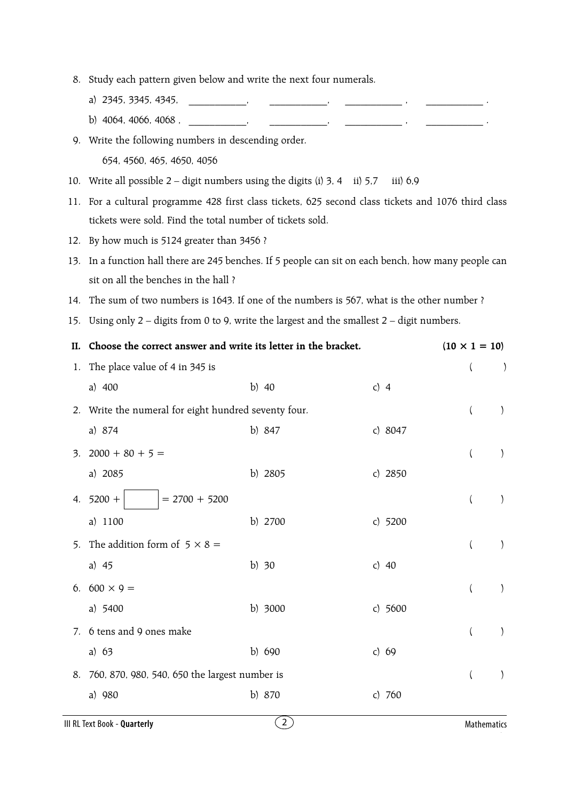- 8. Study each pattern given below and write the next four numerals.
	- a) 2345, 3345, 4345, **... ... ...** ,
	- b) 4064, 4066, 4068,  $\frac{1}{2}$

9. Write the following numbers in descending order. 654, 4560, 465, 4650, 4056

- 10. Write all possible 2 digit numbers using the digits (i) 3, 4 ii) 5,7 iii) 6,9
- 11. For a cultural programme 428 first class tickets, 625 second class tickets and 1076 third class tickets were sold. Find the total number of tickets sold.
- 12. By how much is 5124 greater than 3456 ?
- 13. In a function hall there are 245 benches. If 5 people can sit on each bench, how many people can sit on all the benches in the hall ?
- 14. The sum of two numbers is 1643. If one of the numbers is 567, what is the other number ?
- 15. Using only 2 digits from 0 to 9, write the largest and the smallest 2 digit numbers.

|    | II. Choose the correct answer and write its letter in the bracket. |          |           | $(10 \times 1 = 10)$     |                  |
|----|--------------------------------------------------------------------|----------|-----------|--------------------------|------------------|
| 1. | The place value of 4 in 345 is                                     |          |           | $\overline{\mathcal{L}}$ | $\left( \right)$ |
|    | a) 400                                                             | b) $40$  | c) $4$    |                          |                  |
|    | 2. Write the numeral for eight hundred seventy four.               |          |           | $\left($                 | $\left( \right)$ |
|    | a) 874                                                             | b) 847   | c) 8047   |                          |                  |
| 3. | $2000 + 80 + 5 =$                                                  |          |           | $\left($                 | $\mathcal{E}$    |
|    | a) 2085                                                            | b) 2805  | c) $2850$ |                          |                  |
| 4. | $5200 +$<br>$= 2700 + 5200$                                        |          |           | $\left($                 | $\mathcal{E}$    |
|    | a) 1100                                                            | b) 2700  | c) $5200$ |                          |                  |
|    | 5. The addition form of $5 \times 8 =$                             |          |           | $\left(\right)$          | $\mathcal{L}$    |
|    | a) $45$                                                            | b) $30$  | c) $40$   |                          |                  |
|    | 6. $600 \times 9 =$                                                |          |           | $\left($                 | $\mathcal{E}$    |
|    | a) 5400                                                            | b) 3000  | c) $5600$ |                          |                  |
| 7. | 6 tens and 9 ones make                                             |          |           | $\left($                 | $\left( \right)$ |
|    | a) $63$                                                            | b) 690   | c) $69$   |                          |                  |
|    | 8. 760, 870, 980, 540, 650 the largest number is                   |          |           | $\left($                 | $\mathcal{E}$    |
|    | a) 980                                                             | b) $870$ | c) $760$  |                          |                  |
|    |                                                                    |          |           |                          |                  |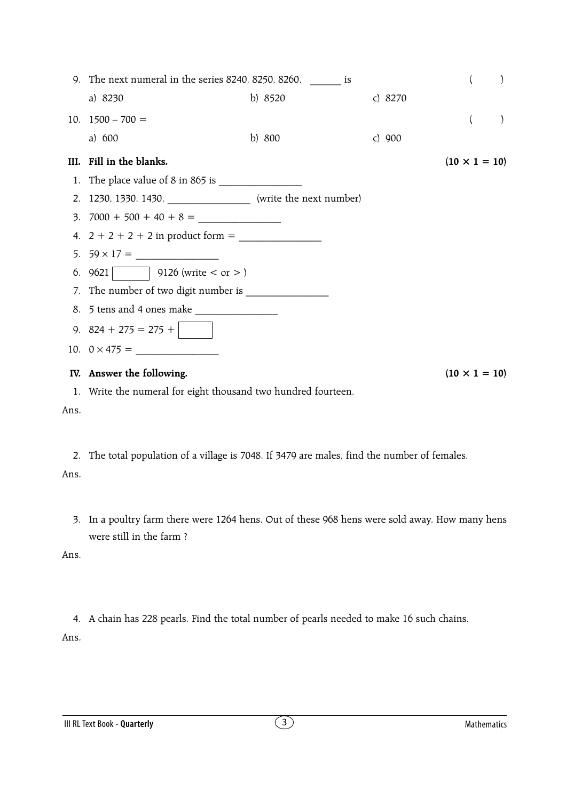| 9. The next numeral in the series $8240$ , $8250$ , $8260$ , is   |          |           | $\left($             |  |
|-------------------------------------------------------------------|----------|-----------|----------------------|--|
| a) 8230                                                           | b) 8520  | c) $8270$ |                      |  |
| 10. $1500 - 700 =$                                                |          |           | $\left($             |  |
| a) $600$                                                          | b) $800$ | c) $900$  |                      |  |
| III. Fill in the blanks.                                          |          |           | $(10 \times 1 = 10)$ |  |
|                                                                   |          |           |                      |  |
| 2. 1230, 1330, 1430, ____________________ (write the next number) |          |           |                      |  |
|                                                                   |          |           |                      |  |
|                                                                   |          |           |                      |  |
|                                                                   |          |           |                      |  |
| 6. 9621   9126 (write $<$ or $>$ )                                |          |           |                      |  |
|                                                                   |          |           |                      |  |
|                                                                   |          |           |                      |  |
| 9. $824 + 275 = 275 +$                                            |          |           |                      |  |
|                                                                   |          |           |                      |  |
| IV. Answer the following.                                         |          |           | $(10 \times 1 = 10)$ |  |
| 1. Write the numeral for eight thousand two hundred fourteen.     |          |           |                      |  |

Ans.

2. The total population of a village is 7048. If 3479 are males, find the number of females. Ans.

3. In a poultry farm there were 1264 hens. Out of these 968 hens were sold away. How many hens were still in the farm ?

Ans.

4. A chain has 228 pearls. Find the total number of pearls needed to make 16 such chains. Ans.